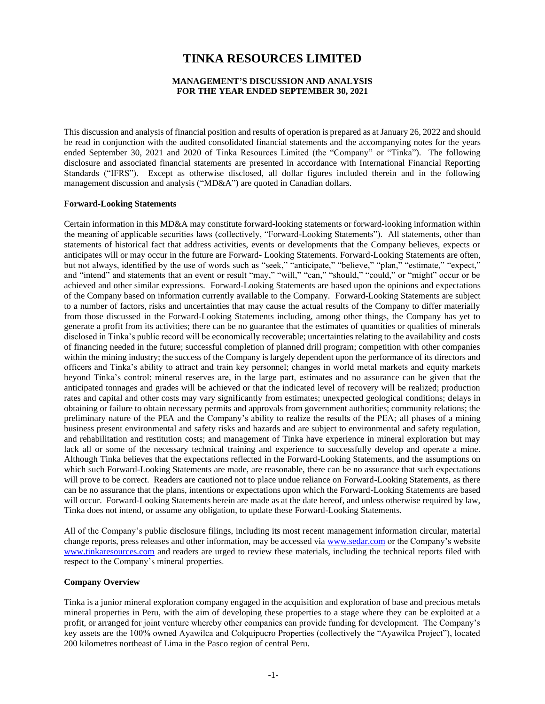# **TINKA RESOURCES LIMITED**

#### **MANAGEMENT'S DISCUSSION AND ANALYSIS FOR THE YEAR ENDED SEPTEMBER 30, 2021**

This discussion and analysis of financial position and results of operation is prepared as at January 26, 2022 and should be read in conjunction with the audited consolidated financial statements and the accompanying notes for the years ended September 30, 2021 and 2020 of Tinka Resources Limited (the "Company" or "Tinka"). The following disclosure and associated financial statements are presented in accordance with International Financial Reporting Standards ("IFRS"). Except as otherwise disclosed, all dollar figures included therein and in the following management discussion and analysis ("MD&A") are quoted in Canadian dollars.

#### **Forward-Looking Statements**

Certain information in this MD&A may constitute forward-looking statements or forward-looking information within the meaning of applicable securities laws (collectively, "Forward-Looking Statements"). All statements, other than statements of historical fact that address activities, events or developments that the Company believes, expects or anticipates will or may occur in the future are Forward- Looking Statements. Forward-Looking Statements are often, but not always, identified by the use of words such as "seek," "anticipate," "believe," "plan," "estimate," "expect," and "intend" and statements that an event or result "may," "will," "can," "should," "could," or "might" occur or be achieved and other similar expressions. Forward-Looking Statements are based upon the opinions and expectations of the Company based on information currently available to the Company. Forward-Looking Statements are subject to a number of factors, risks and uncertainties that may cause the actual results of the Company to differ materially from those discussed in the Forward-Looking Statements including, among other things, the Company has yet to generate a profit from its activities; there can be no guarantee that the estimates of quantities or qualities of minerals disclosed in Tinka's public record will be economically recoverable; uncertainties relating to the availability and costs of financing needed in the future; successful completion of planned drill program; competition with other companies within the mining industry; the success of the Company is largely dependent upon the performance of its directors and officers and Tinka's ability to attract and train key personnel; changes in world metal markets and equity markets beyond Tinka's control; mineral reserves are, in the large part, estimates and no assurance can be given that the anticipated tonnages and grades will be achieved or that the indicated level of recovery will be realized; production rates and capital and other costs may vary significantly from estimates; unexpected geological conditions; delays in obtaining or failure to obtain necessary permits and approvals from government authorities; community relations; the preliminary nature of the PEA and the Company's ability to realize the results of the PEA; all phases of a mining business present environmental and safety risks and hazards and are subject to environmental and safety regulation, and rehabilitation and restitution costs; and management of Tinka have experience in mineral exploration but may lack all or some of the necessary technical training and experience to successfully develop and operate a mine. Although Tinka believes that the expectations reflected in the Forward-Looking Statements, and the assumptions on which such Forward-Looking Statements are made, are reasonable, there can be no assurance that such expectations will prove to be correct. Readers are cautioned not to place undue reliance on Forward-Looking Statements, as there can be no assurance that the plans, intentions or expectations upon which the Forward-Looking Statements are based will occur. Forward-Looking Statements herein are made as at the date hereof, and unless otherwise required by law, Tinka does not intend, or assume any obligation, to update these Forward-Looking Statements.

All of the Company's public disclosure filings, including its most recent management information circular, material change reports, press releases and other information, may be accessed via [www.sedar.com](http://www.sedar.com/) or the Company's website [www.tinkaresources.com](http://www.tinkaresources.com/) and readers are urged to review these materials, including the technical reports filed with respect to the Company's mineral properties.

#### **Company Overview**

Tinka is a junior mineral exploration company engaged in the acquisition and exploration of base and precious metals mineral properties in Peru, with the aim of developing these properties to a stage where they can be exploited at a profit, or arranged for joint venture whereby other companies can provide funding for development. The Company's key assets are the 100% owned Ayawilca and Colquipucro Properties (collectively the "Ayawilca Project"), located 200 kilometres northeast of Lima in the Pasco region of central Peru.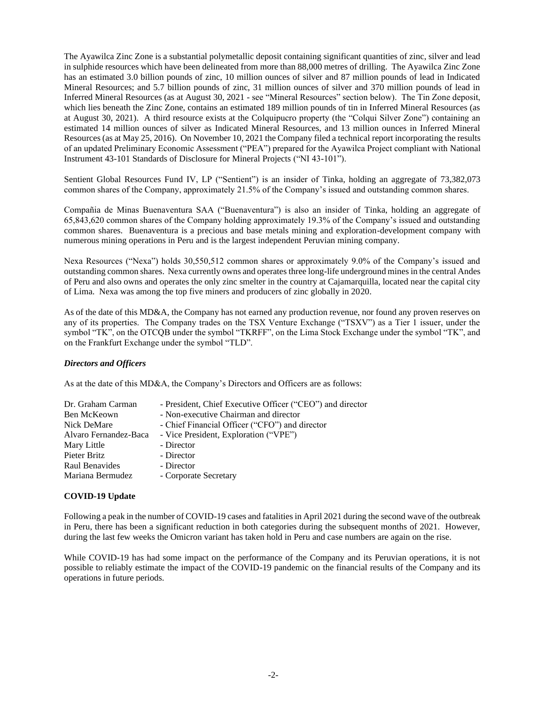The Ayawilca Zinc Zone is a substantial polymetallic deposit containing significant quantities of zinc, silver and lead in sulphide resources which have been delineated from more than 88,000 metres of drilling. The Ayawilca Zinc Zone has an estimated 3.0 billion pounds of zinc, 10 million ounces of silver and 87 million pounds of lead in Indicated Mineral Resources; and 5.7 billion pounds of zinc, 31 million ounces of silver and 370 million pounds of lead in Inferred Mineral Resources (as at August 30, 2021 - see "Mineral Resources" section below). The Tin Zone deposit, which lies beneath the Zinc Zone, contains an estimated 189 million pounds of tin in Inferred Mineral Resources (as at August 30, 2021). A third resource exists at the Colquipucro property (the "Colqui Silver Zone") containing an estimated 14 million ounces of silver as Indicated Mineral Resources, and 13 million ounces in Inferred Mineral Resources (as at May 25, 2016). On November 10, 2021 the Company filed a technical report incorporating the results of an updated Preliminary Economic Assessment ("PEA") prepared for the Ayawilca Project compliant with National Instrument 43-101 Standards of Disclosure for Mineral Projects ("NI 43-101").

Sentient Global Resources Fund IV, LP ("Sentient") is an insider of Tinka, holding an aggregate of 73,382,073 common shares of the Company, approximately 21.5% of the Company's issued and outstanding common shares.

Compañia de Minas Buenaventura SAA ("Buenaventura") is also an insider of Tinka, holding an aggregate of 65,843,620 common shares of the Company holding approximately 19.3% of the Company's issued and outstanding common shares. Buenaventura is a precious and base metals mining and exploration-development company with numerous mining operations in Peru and is the largest independent Peruvian mining company.

Nexa Resources ("Nexa") holds 30,550,512 common shares or approximately 9.0% of the Company's issued and outstanding common shares. Nexa currently owns and operates three long-life underground mines in the central Andes of Peru and also owns and operates the only zinc smelter in the country at Cajamarquilla, located near the capital city of Lima. Nexa was among the top five miners and producers of zinc globally in 2020.

As of the date of this MD&A, the Company has not earned any production revenue, nor found any proven reserves on any of its properties. The Company trades on the TSX Venture Exchange ("TSXV") as a Tier 1 issuer, under the symbol "TK", on the OTCQB under the symbol "TKRFF", on the Lima Stock Exchange under the symbol "TK", and on the Frankfurt Exchange under the symbol "TLD".

# *Directors and Officers*

As at the date of this MD&A, the Company's Directors and Officers are as follows:

| Dr. Graham Carman     | - President, Chief Executive Officer ("CEO") and director |
|-----------------------|-----------------------------------------------------------|
| Ben McKeown           | - Non-executive Chairman and director                     |
| Nick DeMare           | - Chief Financial Officer ("CFO") and director            |
| Alvaro Fernandez-Baca | - Vice President, Exploration ("VPE")                     |
| Mary Little           | - Director                                                |
| Pieter Britz          | - Director                                                |
| Raul Benavides        | - Director                                                |
| Mariana Bermudez      | - Corporate Secretary                                     |

# **COVID-19 Update**

Following a peak in the number of COVID-19 cases and fatalities in April 2021 during the second wave of the outbreak in Peru, there has been a significant reduction in both categories during the subsequent months of 2021. However, during the last few weeks the Omicron variant has taken hold in Peru and case numbers are again on the rise.

While COVID-19 has had some impact on the performance of the Company and its Peruvian operations, it is not possible to reliably estimate the impact of the COVID-19 pandemic on the financial results of the Company and its operations in future periods.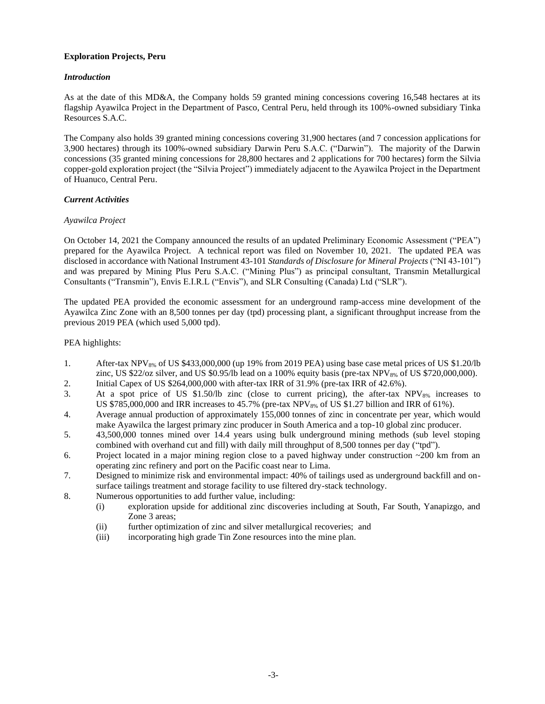# **Exploration Projects, Peru**

# *Introduction*

As at the date of this MD&A, the Company holds 59 granted mining concessions covering 16,548 hectares at its flagship Ayawilca Project in the Department of Pasco, Central Peru, held through its 100%-owned subsidiary Tinka Resources S.A.C.

The Company also holds 39 granted mining concessions covering 31,900 hectares (and 7 concession applications for 3,900 hectares) through its 100%-owned subsidiary Darwin Peru S.A.C. ("Darwin"). The majority of the Darwin concessions (35 granted mining concessions for 28,800 hectares and 2 applications for 700 hectares) form the Silvia copper-gold exploration project (the "Silvia Project") immediately adjacent to the Ayawilca Project in the Department of Huanuco, Central Peru.

# *Current Activities*

#### *Ayawilca Project*

On October 14, 2021 the Company announced the results of an updated Preliminary Economic Assessment ("PEA") prepared for the Ayawilca Project. A technical report was filed on November 10, 2021. The updated PEA was disclosed in accordance with National Instrument 43-101 *Standards of Disclosure for Mineral Projects* ("NI 43-101") and was prepared by Mining Plus Peru S.A.C. ("Mining Plus") as principal consultant, Transmin Metallurgical Consultants ("Transmin"), Envis E.I.R.L ("Envis"), and SLR Consulting (Canada) Ltd ("SLR").

The updated PEA provided the economic assessment for an underground ramp-access mine development of the Ayawilca Zinc Zone with an 8,500 tonnes per day (tpd) processing plant, a significant throughput increase from the previous 2019 PEA (which used 5,000 tpd).

# PEA highlights:

- 1. After-tax NPV8% of US \$433,000,000 (up 19% from 2019 PEA) using base case metal prices of US \$1.20/lb zinc, US  $$22/oz$  silver, and US  $$0.95/lb$  lead on a 100% equity basis (pre-tax NPV<sub>8%</sub> of US \$720,000,000).
- 2. Initial Capex of US \$264,000,000 with after-tax IRR of 31.9% (pre-tax IRR of 42.6%).
- 3. At a spot price of US \$1.50/lb zinc (close to current pricing), the after-tax NPV8% increases to US  $$785,000,000$  and IRR increases to 45.7% (pre-tax NPV $_{8\%}$  of US \$1.27 billion and IRR of 61%).
- 4. Average annual production of approximately 155,000 tonnes of zinc in concentrate per year, which would make Ayawilca the largest primary zinc producer in South America and a top-10 global zinc producer.
- 5. 43,500,000 tonnes mined over 14.4 years using bulk underground mining methods (sub level stoping combined with overhand cut and fill) with daily mill throughput of 8,500 tonnes per day ("tpd").
- 6. Project located in a major mining region close to a paved highway under construction ~200 km from an operating zinc refinery and port on the Pacific coast near to Lima.
- 7. Designed to minimize risk and environmental impact: 40% of tailings used as underground backfill and onsurface tailings treatment and storage facility to use filtered dry-stack technology.
- 8. Numerous opportunities to add further value, including:
	- (i) exploration upside for additional zinc discoveries including at South, Far South, Yanapizgo, and Zone 3 areas;
	- (ii) further optimization of zinc and silver metallurgical recoveries; and
	- (iii) incorporating high grade Tin Zone resources into the mine plan.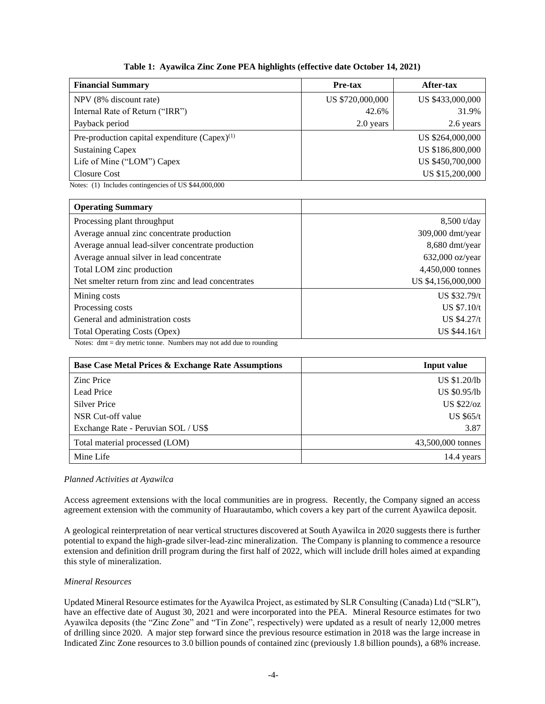| US \$720,000,000<br>42.6%<br>2.0 years | US \$433,000,000<br>31.9% |
|----------------------------------------|---------------------------|
|                                        |                           |
|                                        |                           |
|                                        | 2.6 years                 |
|                                        | US \$264,000,000          |
|                                        | US \$186,800,000          |
|                                        | US \$450,700,000          |
|                                        | US \$15,200,000           |
|                                        |                           |

**Table 1: Ayawilca Zinc Zone PEA highlights (effective date October 14, 2021)**

| <b>Operating Summary</b>                           |                    |
|----------------------------------------------------|--------------------|
| Processing plant throughput                        | 8,500 t/day        |
| Average annual zinc concentrate production         | $309,000$ dmt/year |
| Average annual lead-silver concentrate production  | 8,680 dmt/year     |
| Average annual silver in lead concentrate          | $632,000$ oz/year  |
| Total LOM zinc production                          | 4,450,000 tonnes   |
| Net smelter return from zinc and lead concentrates | US \$4,156,000,000 |
| Mining costs                                       | US \$32.79/t       |
| Processing costs                                   | US $$7.10/t$       |
| General and administration costs                   | <b>US \$4.27/t</b> |
| Total Operating Costs (Opex)                       | US \$44.16/t       |

Notes: dmt = dry metric tonne. Numbers may not add due to rounding

| <b>Base Case Metal Prices &amp; Exchange Rate Assumptions</b> | <b>Input value</b> |
|---------------------------------------------------------------|--------------------|
| Zinc Price                                                    | US \$1.20/lb       |
| Lead Price                                                    | US \$0.95/lb       |
| <b>Silver Price</b>                                           | <b>US \$22/oz</b>  |
| NSR Cut-off value                                             | <b>US \$65/t</b>   |
| Exchange Rate - Peruvian SOL / US\$                           | 3.87               |
| Total material processed (LOM)                                | 43,500,000 tonnes  |
| Mine Life                                                     | 14.4 vears         |

# *Planned Activities at Ayawilca*

Access agreement extensions with the local communities are in progress. Recently, the Company signed an access agreement extension with the community of Huarautambo, which covers a key part of the current Ayawilca deposit.

A geological reinterpretation of near vertical structures discovered at South Ayawilca in 2020 suggests there is further potential to expand the high-grade silver-lead-zinc mineralization. The Company is planning to commence a resource extension and definition drill program during the first half of 2022, which will include drill holes aimed at expanding this style of mineralization.

# *Mineral Resources*

Updated Mineral Resource estimates for the Ayawilca Project, as estimated by SLR Consulting (Canada) Ltd ("SLR"), have an effective date of August 30, 2021 and were incorporated into the PEA. Mineral Resource estimates for two Ayawilca deposits (the "Zinc Zone" and "Tin Zone", respectively) were updated as a result of nearly 12,000 metres of drilling since 2020. A major step forward since the previous resource estimation in 2018 was the large increase in Indicated Zinc Zone resources to 3.0 billion pounds of contained zinc (previously 1.8 billion pounds), a 68% increase.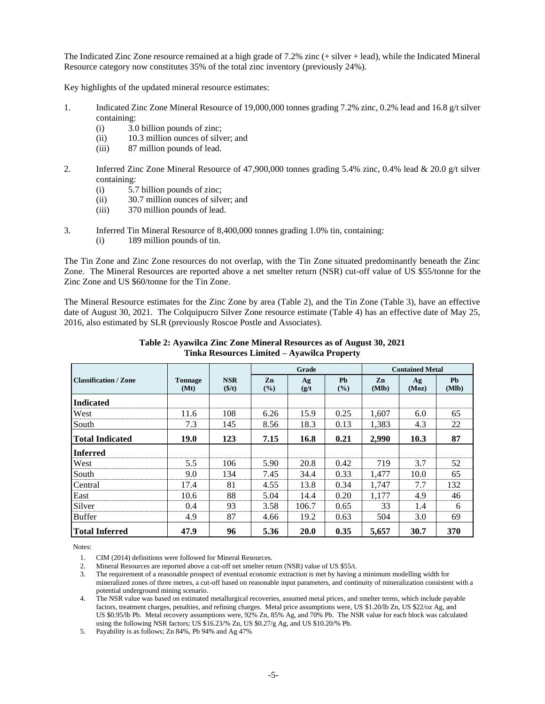The Indicated Zinc Zone resource remained at a high grade of 7.2% zinc (+ silver + lead), while the Indicated Mineral Resource category now constitutes 35% of the total zinc inventory (previously 24%).

Key highlights of the updated mineral resource estimates:

- 1. Indicated Zinc Zone Mineral Resource of 19,000,000 tonnes grading 7.2% zinc, 0.2% lead and 16.8 g/t silver containing:
	- (i) 3.0 billion pounds of zinc;
	- (ii) 10.3 million ounces of silver; and
	- (iii) 87 million pounds of lead.
- 2. Inferred Zinc Zone Mineral Resource of 47,900,000 tonnes grading 5.4% zinc, 0.4% lead & 20.0 g/t silver containing:
	- (i) 5.7 billion pounds of zinc;
	- (ii) 30.7 million ounces of silver; and
	- (iii) 370 million pounds of lead.
- 3. Inferred Tin Mineral Resource of 8,400,000 tonnes grading 1.0% tin, containing:
	- (i) 189 million pounds of tin.

The Tin Zone and Zinc Zone resources do not overlap, with the Tin Zone situated predominantly beneath the Zinc Zone. The Mineral Resources are reported above a net smelter return (NSR) cut-off value of US \$55/tonne for the Zinc Zone and US \$60/tonne for the Tin Zone.

The Mineral Resource estimates for the Zinc Zone by area (Table 2), and the Tin Zone (Table 3), have an effective date of August 30, 2021. The Colquipucro Silver Zone resource estimate (Table 4) has an effective date of May 25, 2016, also estimated by SLR (previously Roscoe Postle and Associates).

|                              |                        |                      |           | Grade       |                  |             | <b>Contained Metal</b> |                    |
|------------------------------|------------------------|----------------------|-----------|-------------|------------------|-------------|------------------------|--------------------|
| <b>Classification / Zone</b> | <b>Tonnage</b><br>(Mt) | <b>NSR</b><br>(\$/t) | Zn<br>(%) | Ag<br>(g/t) | <b>Pb</b><br>(%) | Zn<br>(Mlb) | Ag<br>(Moz)            | <b>Pb</b><br>(Mlb) |
| <b>Indicated</b>             |                        |                      |           |             |                  |             |                        |                    |
| West                         | 11.6                   | 108                  | 6.26      | 15.9        | 0.25             | 1.607       | 6.0                    | 65                 |
| South                        | 7.3                    | 145                  | 8.56      | 18.3        | 0.13             | 1.383       | 4.3                    | 22                 |
| <b>Total Indicated</b>       | <b>19.0</b>            | 123                  | 7.15      | 16.8        | 0.21             | 2,990       | 10.3                   | 87                 |
| <b>Inferred</b>              |                        |                      |           |             |                  |             |                        |                    |
| West                         | 5.5                    | 106                  | 5.90      | 20.8        | 0.42             | 719         | 3.7                    | 52                 |
| South                        | 9.0                    | 134                  | 7.45      | 34.4        | 0.33             | 1.477       | 10.0                   | 65                 |
| Central                      | 17.4                   | 81                   | 4.55      | 13.8        | 0.34             | 1,747       | 7.7                    | 132                |
| East                         | 10.6                   | 88                   | 5.04      | 14.4        | 0.20             | 1.177       | 4.9                    | 46                 |
| Silver                       | 0.4                    | 93                   | 3.58      | 106.7       | 0.65             | 33          | 1.4                    | 6                  |
| <b>Buffer</b>                | 4.9                    | 87                   | 4.66      | 19.2        | 0.63             | 504         | 3.0                    | 69                 |
| <b>Total Inferred</b>        | 47.9                   | 96                   | 5.36      | 20.0        | 0.35             | 5,657       | 30.7                   | 370                |

#### **Table 2: Ayawilca Zinc Zone Mineral Resources as of August 30, 2021 Tinka Resources Limited – Ayawilca Property**

Notes:

1. CIM (2014) definitions were followed for Mineral Resources.

2. Mineral Resources are reported above a cut-off net smelter return (NSR) value of US \$55/t.

3. The requirement of a reasonable prospect of eventual economic extraction is met by having a minimum modelling width for mineralized zones of three metres, a cut-off based on reasonable input parameters, and continuity of mineralization consistent with a potential underground mining scenario.

4. The NSR value was based on estimated metallurgical recoveries, assumed metal prices, and smelter terms, which include payable factors, treatment charges, penalties, and refining charges. Metal price assumptions were, US \$1.20/lb Zn, US \$22/oz Ag, and US \$0.95/lb Pb. Metal recovery assumptions were, 92% Zn, 85% Ag, and 70% Pb. The NSR value for each block was calculated using the following NSR factors; US \$16.23/% Zn, US \$0.27/g Ag, and US \$10.20/% Pb.

5. Payability is as follows; Zn 84%, Pb 94% and Ag 47%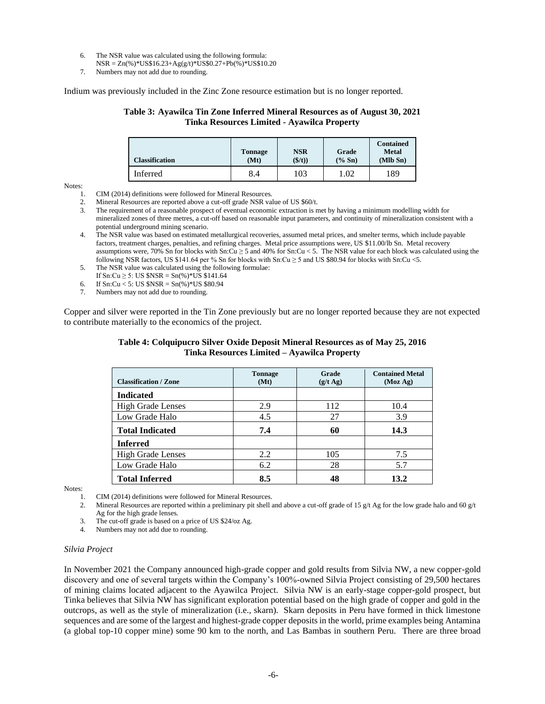- 6. The NSR value was calculated using the following formula:
- $NSR = Zn(\%)$ \*US\$16.23+Ag(g/t)\*US\$0.27+Pb(%)\*US\$10.20
- 7. Numbers may not add due to rounding.

Indium was previously included in the Zinc Zone resource estimation but is no longer reported.

#### **Table 3: Ayawilca Tin Zone Inferred Mineral Resources as of August 30, 2021 Tinka Resources Limited - Ayawilca Property**

| <b>Classification</b> | <b>Tonnage</b><br>(Mt) | <b>NSR</b><br>$(\$/t))$ | Grade<br>$(\%$ Sn) | <b>Contained</b><br><b>Metal</b><br>$(Mlb\ Sn)$ |
|-----------------------|------------------------|-------------------------|--------------------|-------------------------------------------------|
| Inferred              | 8.4                    | 103                     | 1.02               | 189                                             |

Notes:

- 1. CIM (2014) definitions were followed for Mineral Resources.
- 2. Mineral Resources are reported above a cut-off grade NSR value of US \$60/t.
- 3. The requirement of a reasonable prospect of eventual economic extraction is met by having a minimum modelling width for mineralized zones of three metres, a cut-off based on reasonable input parameters, and continuity of mineralization consistent with a potential underground mining scenario.
- 4. The NSR value was based on estimated metallurgical recoveries, assumed metal prices, and smelter terms, which include payable factors, treatment charges, penalties, and refining charges. Metal price assumptions were, US \$11.00/lb Sn. Metal recovery assumptions were, 70% Sn for blocks with Sn:Cu  $\geq$  5 and 40% for Sn:Cu  $\lt$  5. The NSR value for each block was calculated using the following NSR factors, US \$141.64 per % Sn for blocks with Sn:Cu  $\geq$  5 and US \$80.94 for blocks with Sn:Cu <5.
- 5. The NSR value was calculated using the following formulae: If  $Sn:Cu \geq 5$ : US  $SNSR = Sn(\%)$ \*US \$141.64
- 6. If  $Sn:Cu < 5$ : US  $SNSR = Sn(\%) * US \$80.94$
- 7. Numbers may not add due to rounding.

Copper and silver were reported in the Tin Zone previously but are no longer reported because they are not expected to contribute materially to the economics of the project.

#### **Table 4: Colquipucro Silver Oxide Deposit Mineral Resources as of May 25, 2016 Tinka Resources Limited – Ayawilca Property**

| <b>Classification / Zone</b> | <b>Tonnage</b><br>(Mt) | Grade<br>$(g/t \text{ Ag})$ | <b>Contained Metal</b><br>(Moz Ag) |
|------------------------------|------------------------|-----------------------------|------------------------------------|
| <b>Indicated</b>             |                        |                             |                                    |
| <b>High Grade Lenses</b>     | 2.9                    | 112                         | 10.4                               |
| Low Grade Halo               | 4.5                    | 27                          | 3.9                                |
| <b>Total Indicated</b>       | 7.4                    | 60                          | 14.3                               |
| <b>Inferred</b>              |                        |                             |                                    |
| <b>High Grade Lenses</b>     | 2.2                    | 105                         | 7.5                                |
| Low Grade Halo               | 6.2                    | 28                          | 5.7                                |
| <b>Total Inferred</b>        | 8.5                    | 48                          | 13.2                               |

Notes:

1. CIM (2014) definitions were followed for Mineral Resources.

2. Mineral Resources are reported within a preliminary pit shell and above a cut-off grade of 15 g/t Ag for the low grade halo and 60 g/t Ag for the high grade lenses.

3. The cut-off grade is based on a price of US \$24/oz Ag.

4. Numbers may not add due to rounding.

#### *Silvia Project*

In November 2021 the Company announced high-grade copper and gold results from Silvia NW, a new copper-gold discovery and one of several targets within the Company's 100%-owned Silvia Project consisting of 29,500 hectares of mining claims located adjacent to the Ayawilca Project. Silvia NW is an early-stage copper-gold prospect, but Tinka believes that Silvia NW has significant exploration potential based on the high grade of copper and gold in the outcrops, as well as the style of mineralization (i.e., skarn). Skarn deposits in Peru have formed in thick limestone sequences and are some of the largest and highest-grade copper deposits in the world, prime examples being Antamina (a global top-10 copper mine) some 90 km to the north, and Las Bambas in southern Peru. There are three broad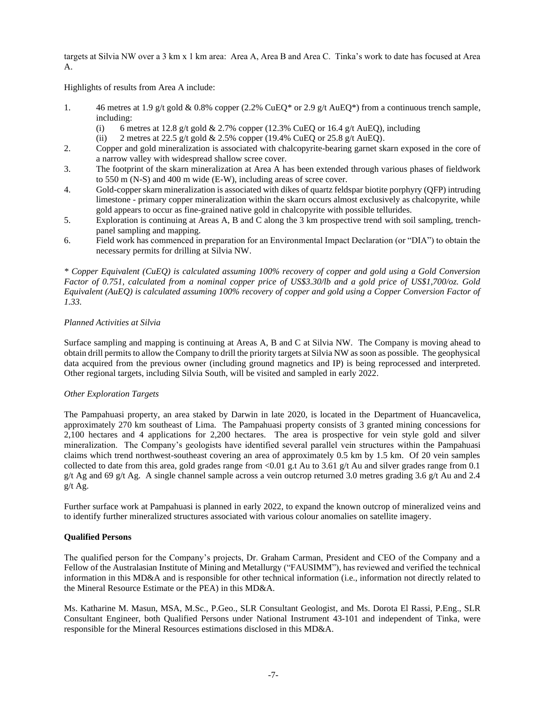targets at Silvia NW over a 3 km x 1 km area: Area A, Area B and Area C. Tinka's work to date has focused at Area A.

Highlights of results from Area A include:

- 1. 46 metres at 1.9 g/t gold & 0.8% copper (2.2% CuEQ\* or 2.9 g/t AuEQ\*) from a continuous trench sample, including:
	- (i) 6 metres at 12.8 g/t gold & 2.7% copper (12.3% CuEQ or 16.4 g/t AuEQ), including
	- (ii) 2 metres at 22.5 g/t gold & 2.5% copper (19.4% CuEQ or 25.8 g/t AuEQ).
- 2. Copper and gold mineralization is associated with chalcopyrite-bearing garnet skarn exposed in the core of a narrow valley with widespread shallow scree cover.
- 3. The footprint of the skarn mineralization at Area A has been extended through various phases of fieldwork to 550 m (N-S) and 400 m wide (E-W), including areas of scree cover.
- 4. Gold-copper skarn mineralization is associated with dikes of quartz feldspar biotite porphyry (QFP) intruding limestone - primary copper mineralization within the skarn occurs almost exclusively as chalcopyrite, while gold appears to occur as fine-grained native gold in chalcopyrite with possible tellurides.
- 5. Exploration is continuing at Areas A, B and C along the 3 km prospective trend with soil sampling, trenchpanel sampling and mapping.
- 6. Field work has commenced in preparation for an Environmental Impact Declaration (or "DIA") to obtain the necessary permits for drilling at Silvia NW.

*\* Copper Equivalent (CuEQ) is calculated assuming 100% recovery of copper and gold using a Gold Conversion Factor of 0.751, calculated from a nominal copper price of US\$3.30/lb and a gold price of US\$1,700/oz. Gold Equivalent (AuEQ) is calculated assuming 100% recovery of copper and gold using a Copper Conversion Factor of 1.33.*

#### *Planned Activities at Silvia*

Surface sampling and mapping is continuing at Areas A, B and C at Silvia NW. The Company is moving ahead to obtain drill permits to allow the Company to drill the priority targets at Silvia NW as soon as possible. The geophysical data acquired from the previous owner (including ground magnetics and IP) is being reprocessed and interpreted. Other regional targets, including Silvia South, will be visited and sampled in early 2022.

# *Other Exploration Targets*

The Pampahuasi property, an area staked by Darwin in late 2020, is located in the Department of Huancavelica, approximately 270 km southeast of Lima. The Pampahuasi property consists of 3 granted mining concessions for 2,100 hectares and 4 applications for 2,200 hectares. The area is prospective for vein style gold and silver mineralization. The Company's geologists have identified several parallel vein structures within the Pampahuasi claims which trend northwest-southeast covering an area of approximately 0.5 km by 1.5 km. Of 20 vein samples collected to date from this area, gold grades range from <0.01 g.t Au to 3.61 g/t Au and silver grades range from 0.1 g/t Ag and 69 g/t Ag. A single channel sample across a vein outcrop returned 3.0 metres grading 3.6 g/t Au and 2.4  $g/t$  Ag.

Further surface work at Pampahuasi is planned in early 2022, to expand the known outcrop of mineralized veins and to identify further mineralized structures associated with various colour anomalies on satellite imagery.

# **Qualified Persons**

The qualified person for the Company's projects, Dr. Graham Carman, President and CEO of the Company and a Fellow of the Australasian Institute of Mining and Metallurgy ("FAUSIMM"), has reviewed and verified the technical information in this MD&A and is responsible for other technical information (i.e., information not directly related to the Mineral Resource Estimate or the PEA) in this MD&A.

Ms. Katharine M. Masun, MSA, M.Sc., P.Geo., SLR Consultant Geologist, and Ms. Dorota El Rassi, P.Eng., SLR Consultant Engineer, both Qualified Persons under National Instrument 43-101 and independent of Tinka, were responsible for the Mineral Resources estimations disclosed in this MD&A.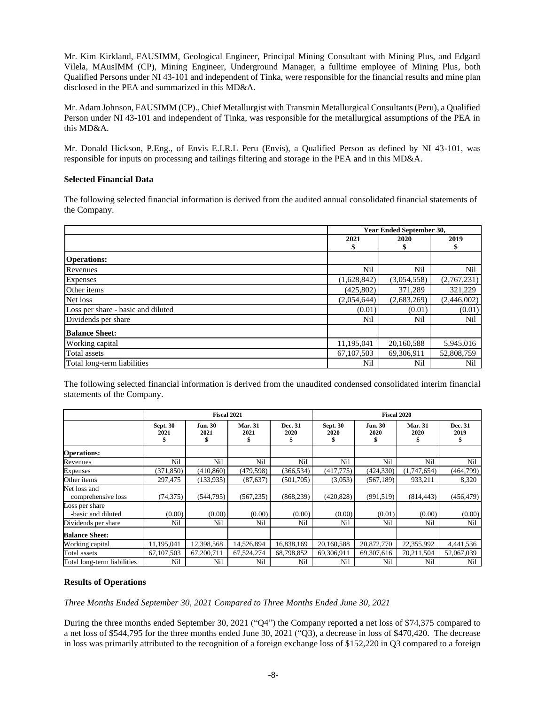Mr. Kim Kirkland, FAUSIMM, Geological Engineer, Principal Mining Consultant with Mining Plus, and Edgard Vilela, MAusIMM (CP), Mining Engineer, Underground Manager, a fulltime employee of Mining Plus, both Qualified Persons under NI 43-101 and independent of Tinka, were responsible for the financial results and mine plan disclosed in the PEA and summarized in this MD&A.

Mr. Adam Johnson, FAUSIMM (CP)., Chief Metallurgist with Transmin Metallurgical Consultants (Peru), a Qualified Person under NI 43-101 and independent of Tinka, was responsible for the metallurgical assumptions of the PEA in this MD&A.

Mr. Donald Hickson, P.Eng., of Envis E.I.R.L Peru (Envis), a Qualified Person as defined by NI 43-101, was responsible for inputs on processing and tailings filtering and storage in the PEA and in this MD&A.

#### **Selected Financial Data**

The following selected financial information is derived from the audited annual consolidated financial statements of the Company.

|                                    |              | Year Ended September 30, |             |  |  |
|------------------------------------|--------------|--------------------------|-------------|--|--|
|                                    | 2021         | 2020                     | 2019        |  |  |
|                                    |              |                          | \$          |  |  |
| <b>Operations:</b>                 |              |                          |             |  |  |
| Revenues                           | Nil          | Nil                      | Nil         |  |  |
| <b>Expenses</b>                    | (1,628,842)  | (3,054,558)              | (2,767,231) |  |  |
| Other items                        | (425, 802)   | 371,289                  | 321,229     |  |  |
| Net loss                           | (2,054,644)  | (2,683,269)              | (2,446,002) |  |  |
| Loss per share - basic and diluted | (0.01)       | (0.01)                   | (0.01)      |  |  |
| Dividends per share                | Nil          | Nil                      | Nil         |  |  |
| <b>Balance Sheet:</b>              |              |                          |             |  |  |
| Working capital                    | 11,195,041   | 20,160,588               | 5,945,016   |  |  |
| Total assets                       | 67, 107, 503 | 69,306,911               | 52,808,759  |  |  |
| Total long-term liabilities        | Nil          | Nil                      | Nil         |  |  |

The following selected financial information is derived from the unaudited condensed consolidated interim financial statements of the Company.

|                                      | <b>Fiscal 2021</b>            |                             |                        |                      |                               | <b>Fiscal 2020</b>           |                        |                      |
|--------------------------------------|-------------------------------|-----------------------------|------------------------|----------------------|-------------------------------|------------------------------|------------------------|----------------------|
|                                      | <b>Sept. 30</b><br>2021<br>\$ | <b>Jun. 30</b><br>2021<br>S | <b>Mar. 31</b><br>2021 | Dec. 31<br>2020<br>S | <b>Sept. 30</b><br>2020<br>\$ | <b>Jun. 30</b><br>2020<br>\$ | <b>Mar. 31</b><br>2020 | Dec. 31<br>2019<br>S |
| <b>Operations:</b>                   |                               |                             |                        |                      |                               |                              |                        |                      |
| Revenues                             | Nil                           | Nil                         | Nil                    | Nil                  | Nil                           | Nil                          | Nil                    | Nil                  |
| <b>Expenses</b>                      | (371, 850)                    | (410, 860)                  | (479, 598)             | (366, 534)           | (417, 775)                    | (424, 330)                   | (1,747,654)            | (464, 799)           |
| Other items                          | 297,475                       | (133,935)                   | (87,637)               | (501,705)            | (3,053)                       | (567, 189)                   | 933.211                | 8,320                |
| Net loss and<br>comprehensive loss   | (74, 375)                     | (544, 795)                  | (567, 235)             | (868, 239)           | (420, 828)                    | (991, 519)                   | (814, 443)             | (456, 479)           |
| Loss per share<br>-basic and diluted | (0.00)                        | (0.00)                      | (0.00)                 | (0.00)               | (0.00)                        | (0.01)                       | (0.00)                 | (0.00)               |
| Dividends per share                  | Nil                           | Nil                         | Nil                    | Nil                  | Nil                           | Nil                          | Nil                    | Nil                  |
| <b>Balance Sheet:</b>                |                               |                             |                        |                      |                               |                              |                        |                      |
| Working capital                      | 11,195,041                    | 12,398,568                  | 14,526,894             | 16,838,169           | 20,160,588                    | 20,872,770                   | 22,355,992             | 4,441,536            |
| Total assets                         | 67, 107, 503                  | 67,200,711                  | 67,524,274             | 68,798,852           | 69,306,911                    | 69,307,616                   | 70,211,504             | 52,067,039           |
| Total long-term liabilities          | Nil                           | Nil                         | Nil                    | Nil                  | Nil                           | Nil                          | Nil                    | Nil                  |

# **Results of Operations**

*Three Months Ended September 30, 2021 Compared to Three Months Ended June 30, 2021*

During the three months ended September 30, 2021 ("Q4") the Company reported a net loss of \$74,375 compared to a net loss of \$544,795 for the three months ended June 30, 2021 ("Q3), a decrease in loss of \$470,420. The decrease in loss was primarily attributed to the recognition of a foreign exchange loss of \$152,220 in Q3 compared to a foreign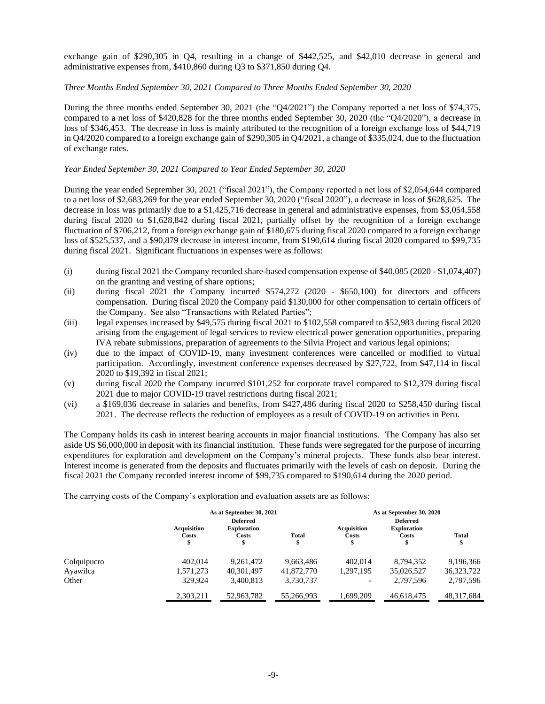exchange gain of \$290,305 in Q4, resulting in a change of \$442,525, and \$42,010 decrease in general and administrative expenses from, \$410,860 during Q3 to \$371,850 during Q4.

#### *Three Months Ended September 30, 2021 Compared to Three Months Ended September 30, 2020*

During the three months ended September 30, 2021 (the "Q4/2021") the Company reported a net loss of \$74,375, compared to a net loss of \$420,828 for the three months ended September 30, 2020 (the "Q4/2020"), a decrease in loss of \$346,453. The decrease in loss is mainly attributed to the recognition of a foreign exchange loss of \$44,719 in Q4/2020 compared to a foreign exchange gain of \$290,305 in Q4/2021, a change of \$335,024, due to the fluctuation of exchange rates.

#### *Year Ended September 30, 2021 Compared to Year Ended September 30, 2020*

During the year ended September 30, 2021 ("fiscal 2021"), the Company reported a net loss of \$2,054,644 compared to a net loss of \$2,683,269 for the year ended September 30, 2020 ("fiscal 2020"), a decrease in loss of \$628,625. The decrease in loss was primarily due to a \$1,425,716 decrease in general and administrative expenses, from \$3,054,558 during fiscal 2020 to \$1,628,842 during fiscal 2021, partially offset by the recognition of a foreign exchange fluctuation of \$706,212, from a foreign exchange gain of \$180,675 during fiscal 2020 compared to a foreign exchange loss of \$525,537, and a \$90,879 decrease in interest income, from \$190,614 during fiscal 2020 compared to \$99,735 during fiscal 2021. Significant fluctuations in expenses were as follows:

- (i) during fiscal 2021 the Company recorded share-based compensation expense of \$40,085 (2020 \$1,074,407) on the granting and vesting of share options;
- (ii) during fiscal 2021 the Company incurred \$574,272 (2020 \$650,100) for directors and officers compensation. During fiscal 2020 the Company paid \$130,000 for other compensation to certain officers of the Company. See also "Transactions with Related Parties";
- (iii) legal expenses increased by \$49,575 during fiscal 2021 to \$102,558 compared to \$52,983 during fiscal 2020 arising from the engagement of legal services to review electrical power generation opportunities, preparing IVA rebate submissions, preparation of agreements to the Silvia Project and various legal opinions;
- (iv) due to the impact of COVID-19, many investment conferences were cancelled or modified to virtual participation. Accordingly, investment conference expenses decreased by \$27,722, from \$47,114 in fiscal 2020 to \$19,392 in fiscal 2021;
- (v) during fiscal 2020 the Company incurred \$101,252 for corporate travel compared to \$12,379 during fiscal 2021 due to major COVID-19 travel restrictions during fiscal 2021;
- (vi) a \$169,036 decrease in salaries and benefits, from \$427,486 during fiscal 2020 to \$258,450 during fiscal 2021. The decrease reflects the reduction of employees as a result of COVID-19 on activities in Peru.

The Company holds its cash in interest bearing accounts in major financial institutions. The Company has also set aside US \$6,000,000 in deposit with its financial institution. These funds were segregated for the purpose of incurring expenditures for exploration and development on the Company's mineral projects. These funds also bear interest. Interest income is generated from the deposits and fluctuates primarily with the levels of cash on deposit. During the fiscal 2021 the Company recorded interest income of \$99,735 compared to \$190,614 during the 2020 period.

The carrying costs of the Company's exploration and evaluation assets are as follows:

|             |                                   | As at September 30, 2021                             |                   | As at September 30, 2020          |                                                      |                    |  |
|-------------|-----------------------------------|------------------------------------------------------|-------------------|-----------------------------------|------------------------------------------------------|--------------------|--|
|             | <b>Acquisition</b><br>Costs<br>\$ | <b>Deferred</b><br><b>Exploration</b><br>Costs<br>\$ | <b>Total</b><br>Φ | <b>Acquisition</b><br>Costs<br>\$ | <b>Deferred</b><br><b>Exploration</b><br>Costs<br>\$ | <b>Total</b><br>\$ |  |
| Colquipucro | 402.014                           | 9.261.472                                            | 9.663.486         | 402.014                           | 8.794.352                                            | 9,196,366          |  |
| Ayawilca    | 1,571,273                         | 40,301,497                                           | 41,872,770        | 1,297,195                         | 35,026,527                                           | 36, 323, 722       |  |
| Other       | 329,924                           | 3,400,813                                            | 3,730,737         |                                   | 2,797,596                                            | 2,797,596          |  |
|             | 2,303,211                         | 52,963,782                                           | 55,266,993        | 1.699.209                         | 46,618,475                                           | 48, 317, 684       |  |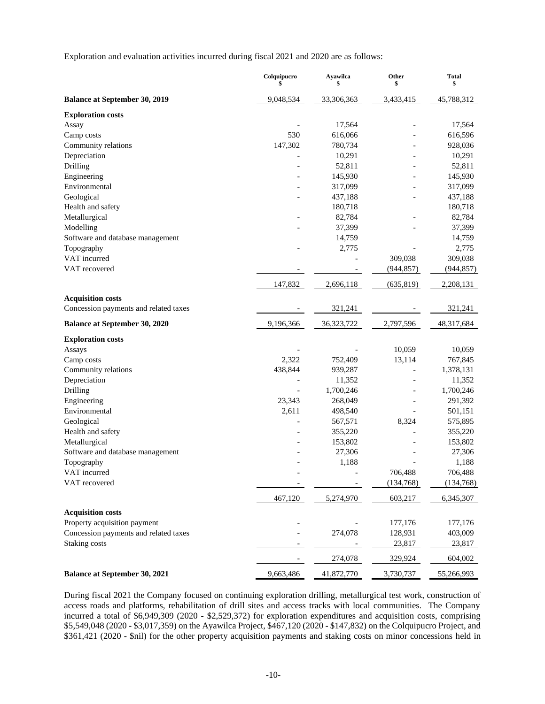Exploration and evaluation activities incurred during fiscal 2021 and 2020 are as follows:

|                                       | Colquipucro<br>\$        | Ayawilca<br>\$ | Other<br>\$ | <b>Total</b><br>\$ |
|---------------------------------------|--------------------------|----------------|-------------|--------------------|
| <b>Balance at September 30, 2019</b>  | 9,048,534                | 33,306,363     | 3,433,415   | 45,788,312         |
| <b>Exploration costs</b>              |                          |                |             |                    |
| Assay                                 |                          | 17,564         |             | 17,564             |
| Camp costs                            | 530                      | 616,066        |             | 616,596            |
| Community relations                   | 147,302                  | 780,734        |             | 928,036            |
| Depreciation                          |                          | 10,291         |             | 10,291             |
| Drilling                              |                          | 52,811         |             | 52,811             |
| Engineering                           |                          | 145,930        |             | 145,930            |
| Environmental                         |                          | 317,099        |             | 317,099            |
| Geological                            |                          | 437,188        |             | 437,188            |
| Health and safety                     |                          | 180,718        |             | 180,718            |
| Metallurgical                         |                          | 82,784         |             | 82,784             |
| Modelling                             |                          | 37,399         |             | 37,399             |
| Software and database management      |                          | 14,759         |             | 14,759             |
| Topography                            |                          | 2,775          |             | 2,775              |
| VAT incurred                          |                          |                | 309,038     | 309,038            |
| VAT recovered                         |                          |                | (944, 857)  | (944, 857)         |
|                                       | 147,832                  | 2,696,118      | (635, 819)  | 2,208,131          |
| <b>Acquisition costs</b>              |                          |                |             |                    |
| Concession payments and related taxes |                          | 321,241        |             | 321,241            |
| <b>Balance at September 30, 2020</b>  | 9,196,366                | 36,323,722     | 2,797,596   | 48,317,684         |
| <b>Exploration costs</b>              |                          |                |             |                    |
| Assays                                |                          |                | 10,059      | 10,059             |
| Camp costs                            | 2,322                    | 752,409        | 13,114      | 767,845            |
| Community relations                   | 438,844                  | 939,287        |             | 1,378,131          |
| Depreciation                          |                          | 11,352         |             | 11,352             |
| Drilling                              | $\overline{\phantom{a}}$ | 1,700,246      |             | 1,700,246          |
| Engineering                           | 23,343                   | 268,049        |             | 291,392            |
| Environmental                         | 2,611                    | 498,540        |             | 501,151            |
| Geological                            |                          | 567,571        | 8,324       | 575,895            |
| Health and safety                     |                          | 355,220        |             | 355,220            |
| Metallurgical                         |                          | 153,802        |             | 153,802            |
| Software and database management      |                          | 27,306         |             | 27,306             |
| Topography                            |                          | 1,188          |             | 1,188              |
| VAT incurred                          |                          |                | 706,488     | 706,488            |
| VAT recovered                         |                          |                | (134,768)   | (134, 768)         |
|                                       | 467,120                  | 5,274,970      | 603,217     | 6,345,307          |
| <b>Acquisition costs</b>              |                          |                |             |                    |
| Property acquisition payment          |                          |                | 177,176     | 177,176            |
| Concession payments and related taxes |                          | 274,078        | 128,931     | 403,009            |
| Staking costs                         |                          |                | 23,817      | 23,817             |
|                                       |                          | 274,078        | 329,924     | 604,002            |
| <b>Balance at September 30, 2021</b>  | 9,663,486                | 41,872,770     | 3,730,737   | 55,266,993         |

During fiscal 2021 the Company focused on continuing exploration drilling, metallurgical test work, construction of access roads and platforms, rehabilitation of drill sites and access tracks with local communities. The Company incurred a total of \$6,949,309 (2020 - \$2,529,372) for exploration expenditures and acquisition costs, comprising \$5,549,048 (2020 - \$3,017,359) on the Ayawilca Project, \$467,120 (2020 - \$147,832) on the Colquipucro Project, and \$361,421 (2020 - \$nil) for the other property acquisition payments and staking costs on minor concessions held in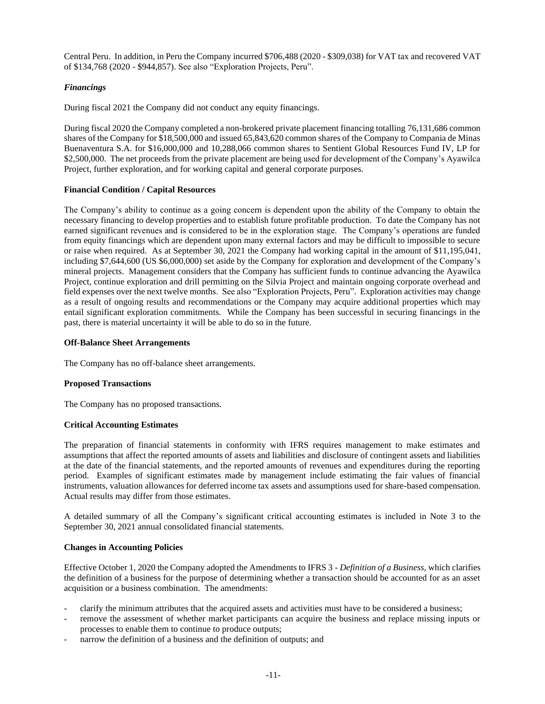Central Peru. In addition, in Peru the Company incurred \$706,488 (2020 - \$309,038) for VAT tax and recovered VAT of \$134,768 (2020 - \$944,857). See also "Exploration Projects, Peru".

# *Financings*

During fiscal 2021 the Company did not conduct any equity financings.

During fiscal 2020 the Company completed a non-brokered private placement financing totalling 76,131,686 common shares of the Company for \$18,500,000 and issued 65,843,620 common shares of the Company to Compania de Minas Buenaventura S.A. for \$16,000,000 and 10,288,066 common shares to Sentient Global Resources Fund IV, LP for \$2,500,000. The net proceeds from the private placement are being used for development of the Company's Ayawilca Project, further exploration, and for working capital and general corporate purposes.

# **Financial Condition / Capital Resources**

The Company's ability to continue as a going concern is dependent upon the ability of the Company to obtain the necessary financing to develop properties and to establish future profitable production. To date the Company has not earned significant revenues and is considered to be in the exploration stage. The Company's operations are funded from equity financings which are dependent upon many external factors and may be difficult to impossible to secure or raise when required. As at September 30, 2021 the Company had working capital in the amount of \$11,195,041, including \$7,644,600 (US \$6,000,000) set aside by the Company for exploration and development of the Company's mineral projects. Management considers that the Company has sufficient funds to continue advancing the Ayawilca Project, continue exploration and drill permitting on the Silvia Project and maintain ongoing corporate overhead and field expenses over the next twelve months. See also "Exploration Projects, Peru". Exploration activities may change as a result of ongoing results and recommendations or the Company may acquire additional properties which may entail significant exploration commitments. While the Company has been successful in securing financings in the past, there is material uncertainty it will be able to do so in the future.

# **Off-Balance Sheet Arrangements**

The Company has no off-balance sheet arrangements.

# **Proposed Transactions**

The Company has no proposed transactions.

# **Critical Accounting Estimates**

The preparation of financial statements in conformity with IFRS requires management to make estimates and assumptions that affect the reported amounts of assets and liabilities and disclosure of contingent assets and liabilities at the date of the financial statements, and the reported amounts of revenues and expenditures during the reporting period. Examples of significant estimates made by management include estimating the fair values of financial instruments, valuation allowances for deferred income tax assets and assumptions used for share-based compensation. Actual results may differ from those estimates.

A detailed summary of all the Company's significant critical accounting estimates is included in Note 3 to the September 30, 2021 annual consolidated financial statements.

# **Changes in Accounting Policies**

Effective October 1, 2020 the Company adopted the Amendments to IFRS 3 - *Definition of a Business,* which clarifies the definition of a business for the purpose of determining whether a transaction should be accounted for as an asset acquisition or a business combination. The amendments:

- clarify the minimum attributes that the acquired assets and activities must have to be considered a business;
- remove the assessment of whether market participants can acquire the business and replace missing inputs or processes to enable them to continue to produce outputs;
- narrow the definition of a business and the definition of outputs; and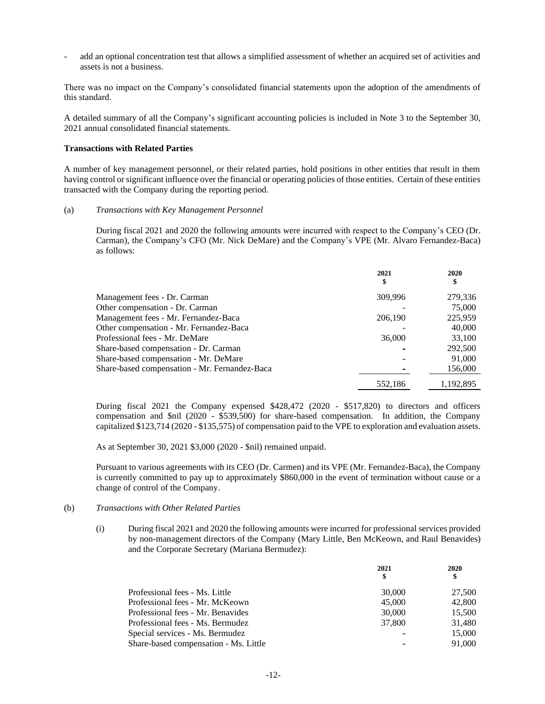add an optional concentration test that allows a simplified assessment of whether an acquired set of activities and assets is not a business.

There was no impact on the Company's consolidated financial statements upon the adoption of the amendments of this standard.

A detailed summary of all the Company's significant accounting policies is included in Note 3 to the September 30, 2021 annual consolidated financial statements.

#### **Transactions with Related Parties**

A number of key management personnel, or their related parties, hold positions in other entities that result in them having control or significant influence over the financial or operating policies of those entities. Certain of these entities transacted with the Company during the reporting period.

#### (a) *Transactions with Key Management Personnel*

During fiscal 2021 and 2020 the following amounts were incurred with respect to the Company's CEO (Dr. Carman), the Company's CFO (Mr. Nick DeMare) and the Company's VPE (Mr. Alvaro Fernandez-Baca) as follows:

|                                               | 2021<br>\$ | 2020<br>\$ |
|-----------------------------------------------|------------|------------|
| Management fees - Dr. Carman                  | 309,996    | 279,336    |
| Other compensation - Dr. Carman               |            | 75,000     |
| Management fees - Mr. Fernandez-Baca          | 206,190    | 225,959    |
| Other compensation - Mr. Fernandez-Baca       |            | 40,000     |
| Professional fees - Mr. DeMare                | 36,000     | 33,100     |
| Share-based compensation - Dr. Carman         |            | 292,500    |
| Share-based compensation - Mr. DeMare         |            | 91,000     |
| Share-based compensation - Mr. Fernandez-Baca |            | 156,000    |
|                                               | 552,186    | 1,192,895  |

During fiscal 2021 the Company expensed \$428,472 (2020 - \$517,820) to directors and officers compensation and \$nil (2020 - \$539,500) for share-based compensation. In addition, the Company capitalized \$123,714 (2020 - \$135,575) of compensation paid to the VPE to exploration and evaluation assets.

As at September 30, 2021 \$3,000 (2020 - \$nil) remained unpaid.

Pursuant to various agreements with its CEO (Dr. Carmen) and its VPE (Mr. Fernandez-Baca), the Company is currently committed to pay up to approximately \$860,000 in the event of termination without cause or a change of control of the Company.

#### (b) *Transactions with Other Related Parties*

(i) During fiscal 2021 and 2020 the following amounts were incurred for professional services provided by non-management directors of the Company (Mary Little, Ben McKeown, and Raul Benavides) and the Corporate Secretary (Mariana Bermudez):

|                                       | 2021<br>\$ | 2020<br>\$ |
|---------------------------------------|------------|------------|
|                                       |            |            |
| Professional fees - Ms. Little        | 30,000     | 27,500     |
| Professional fees - Mr. McKeown       | 45,000     | 42,800     |
| Professional fees - Mr. Benavides     | 30,000     | 15,500     |
| Professional fees - Ms. Bermudez      | 37,800     | 31,480     |
| Special services - Ms. Bermudez       |            | 15,000     |
| Share-based compensation - Ms. Little |            | 91,000     |